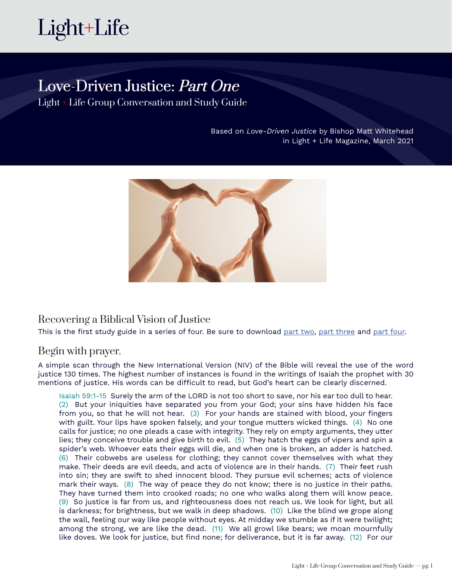

# Love-Driven Justice: Part One

Light + Life Group Conversation and Study Guide

Based on *Love-Driven Justice* by Bishop Matt Whitehead in Light + Life Magazine, March 2021



### Recovering a Biblical Vision of Justice

This is the first study guide in a series of four. Be sure to download [part two](http://lightandlife.fm/wp-content/uploads/2021/02/Part-2_Love-Driven-Justice_Light-and-Life-Group-Study-Guide.pdf), [part three](http://lightandlife.fm/wp-content/uploads/2021/02/Part-3_Love-Driven-Justice_Light-and-Life-Group-Study-Guide.pdf) and [part four](http://lightandlife.fm/wp-content/uploads/2021/02/Part-4_Love-Driven-Justice_Light-and-Life-Group-Study-Guide-2.pdf).

### Begin with prayer.

A simple scan through the New International Version (NIV) of the Bible will reveal the use of the word justice 130 times. The highest number of instances is found in the writings of Isaiah the prophet with 30 mentions of justice. His words can be difficult to read, but God's heart can be clearly discerned.

Isaiah 59:1-15 Surely the arm of the LORD is not too short to save, nor his ear too dull to hear. (2) But your iniquities have separated you from your God; your sins have hidden his face from you, so that he will not hear. (3) For your hands are stained with blood, your fingers with guilt. Your lips have spoken falsely, and your tongue mutters wicked things. (4) No one calls for justice; no one pleads a case with integrity. They rely on empty arguments, they utter lies; they conceive trouble and give birth to evil. (5) They hatch the eggs of vipers and spin a spider's web. Whoever eats their eggs will die, and when one is broken, an adder is hatched. (6) Their cobwebs are useless for clothing; they cannot cover themselves with what they make. Their deeds are evil deeds, and acts of violence are in their hands. (7) Their feet rush into sin; they are swift to shed innocent blood. They pursue evil schemes; acts of violence mark their ways. (8) The way of peace they do not know; there is no justice in their paths. They have turned them into crooked roads; no one who walks along them will know peace. (9) So justice is far from us, and righteousness does not reach us. We look for light, but all is darkness; for brightness, but we walk in deep shadows. (10) Like the blind we grope along the wall, feeling our way like people without eyes. At midday we stumble as if it were twilight; among the strong, we are like the dead. (11) We all growl like bears; we moan mournfully like doves. We look for justice, but find none; for deliverance, but it is far away. (12) For our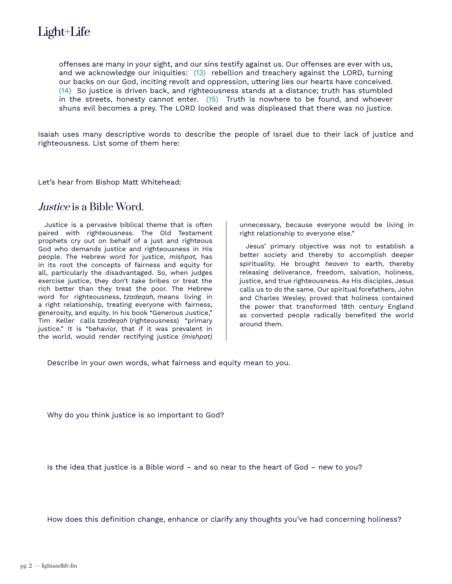offenses are many in your sight, and our sins testify against us. Our offenses are ever with us, and we acknowledge our iniquities: (13) rebellion and treachery against the LORD, turning our backs on our God, inciting revolt and oppression, uttering lies our hearts have conceived. (14) So justice is driven back, and righteousness stands at a distance; truth has stumbled in the streets, honesty cannot enter. (15) Truth is nowhere to be found, and whoever shuns evil becomes a prey. The LORD looked and was displeased that there was no justice.

Isaiah uses many descriptive words to describe the people of Israel due to their lack of justice and righteousness. List some of them here:

Let's hear from Bishop Matt Whitehead:

### Justice is a Bible Word.

Justice is a pervasive biblical theme that is often paired with righteousness. The Old Testament prophets cry out on behalf of a just and righteous God who demands justice and righteousness in His people. The Hebrew word for justice, *mishpat,* has in its root the concepts of fairness and equity for all, particularly the disadvantaged. So, when judges exercise justice, they don't take bribes or treat the rich better than they treat the poor. The Hebrew word for righteousness, *tzadeqah,* means living in a right relationship, treating everyone with fairness, generosity, and equity. In his book "Generous Justice," Tim Keller calls *tzadeqah* (righteousness) "primary justice." It is "behavior, that if it was prevalent in the world, would render rectifying justice *(mishpat)*  unnecessary, because everyone would be living in right relationship to everyone else."

Jesus' primary objective was not to establish a better society and thereby to accomplish deeper spirituality. He brought *heaven* to earth, thereby releasing deliverance, freedom, salvation, holiness, justice, and true righteousness. As His disciples, Jesus calls us to do the same. Our spiritual forefathers, John and Charles Wesley, proved that holiness contained the power that transformed 18th century England as converted people radically benefited the world around them.

Describe in your own words, what fairness and equity mean to you.

Why do you think justice is so important to God?

Is the idea that justice is a Bible word – and so near to the heart of God – new to you?

How does this definition change, enhance or clarify any thoughts you've had concerning holiness?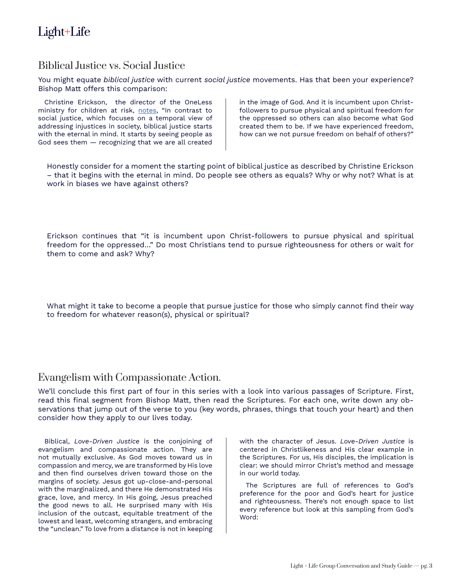# Biblical Justice vs. Social Justice

You might equate *biblical justice* with current *social justice* movements. Has that been your experience? Bishop Matt offers this comparison:

Christine Erickson, the director of the OneLess ministry for children at risk, [notes,](https://sharedhope.org/2018/06/04/biblical-justice-and-social-justice/) "In contrast to social justice, which focuses on a temporal view of addressing injustices in society, biblical justice starts with the eternal in mind. It starts by seeing people as God sees them — recognizing that we are all created in the image of God. And it is incumbent upon Christfollowers to pursue physical and spiritual freedom for the oppressed so others can also become what God created them to be. If we have experienced freedom, how can we not pursue freedom on behalf of others?"

Honestly consider for a moment the starting point of biblical justice as described by Christine Erickson – that it begins with the eternal in mind. Do people see others as equals? Why or why not? What is at work in biases we have against others?

Erickson continues that "it is incumbent upon Christ-followers to pursue physical and spiritual freedom for the oppressed…" Do most Christians tend to pursue righteousness for others or wait for them to come and ask? Why?

What might it take to become a people that pursue justice for those who simply cannot find their way to freedom for whatever reason(s), physical or spiritual?

#### Evangelism with Compassionate Action.

We'll conclude this first part of four in this series with a look into various passages of Scripture. First, read this final segment from Bishop Matt, then read the Scriptures. For each one, write down any observations that jump out of the verse to you (key words, phrases, things that touch your heart) and then consider how they apply to our lives today.

Biblical, *Love-Driven Justice* is the conjoining of evangelism and compassionate action. They are not mutually exclusive. As God moves toward us in compassion and mercy, we are transformed by His love and then find ourselves driven toward those on the margins of society. Jesus got up-close-and-personal with the marginalized, and there He demonstrated His grace, love, and mercy. In His going, Jesus preached the good news to all. He surprised many with His inclusion of the outcast, equitable treatment of the lowest and least, welcoming strangers, and embracing the "unclean." To love from a distance is not in keeping

with the character of Jesus. *Love-Driven Justice* is centered in Christlikeness and His clear example in the Scriptures. For us, His disciples, the implication is clear: we should mirror Christ's method and message in our world today.

The Scriptures are full of references to God's preference for the poor and God's heart for justice and righteousness. There's not enough space to list every reference but look at this sampling from God's Word: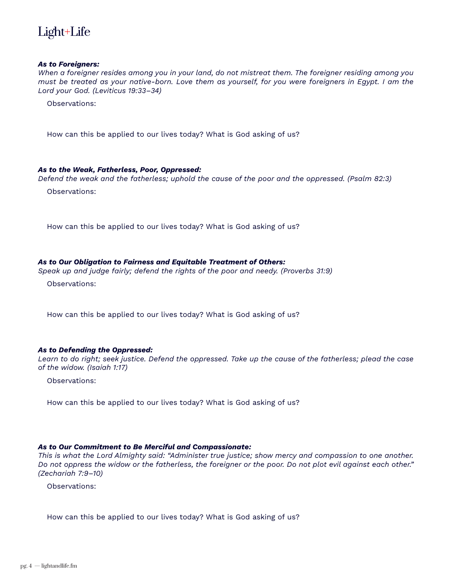

#### *As to Foreigners:*

*When a foreigner resides among you in your land, do not mistreat them. The foreigner residing among you must be treated as your native-born. Love them as yourself, for you were foreigners in Egypt. I am the Lord your God. (Leviticus 19:33–34)*

Observations:

How can this be applied to our lives today? What is God asking of us?

#### *As to the Weak, Fatherless, Poor, Oppressed:*

*Defend the weak and the fatherless; uphold the cause of the poor and the oppressed. (Psalm 82:3)* Observations:

How can this be applied to our lives today? What is God asking of us?

#### *As to Our Obligation to Fairness and Equitable Treatment of Others:*

*Speak up and judge fairly; defend the rights of the poor and needy. (Proverbs 31:9)*

Observations:

How can this be applied to our lives today? What is God asking of us?

#### *As to Defending the Oppressed:*

*Learn to do right; seek justice. Defend the oppressed. Take up the cause of the fatherless; plead the case of the widow. (Isaiah 1:17)*

Observations:

How can this be applied to our lives today? What is God asking of us?

#### *As to Our Commitment to Be Merciful and Compassionate:*

*This is what the Lord Almighty said: "Administer true justice; show mercy and compassion to one another. Do not oppress the widow or the fatherless, the foreigner or the poor. Do not plot evil against each other." (Zechariah 7:9–10)*

Observations:

How can this be applied to our lives today? What is God asking of us?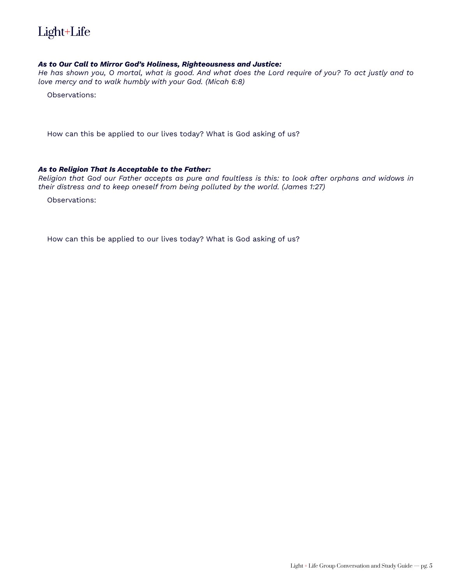

#### *As to Our Call to Mirror God's Holiness, Righteousness and Justice:*

*He has shown you, O mortal, what is good. And what does the Lord require of you? To act justly and to love mercy and to walk humbly with your God. (Micah 6:8)*

Observations:

How can this be applied to our lives today? What is God asking of us?

#### *As to Religion That Is Acceptable to the Father:*

*Religion that God our Father accepts as pure and faultless is this: to look after orphans and widows in their distress and to keep oneself from being polluted by the world. (James 1:27)*

Observations:

How can this be applied to our lives today? What is God asking of us?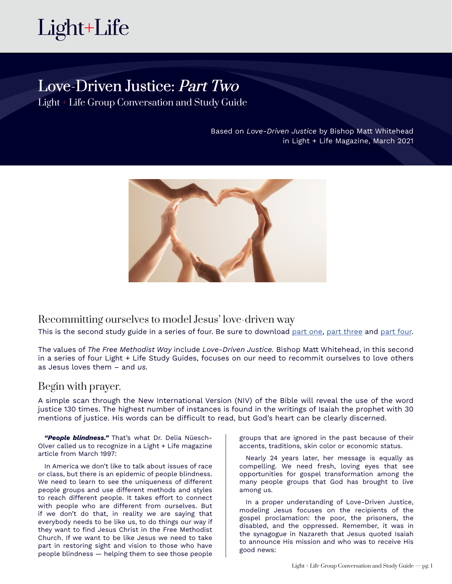# Love-Driven Justice: Part Two

Light + Life Group Conversation and Study Guide

Based on *Love-Driven Justice* by Bishop Matt Whitehead in Light + Life Magazine, March 2021



Recommitting ourselves to model Jesus' love-driven way

This is the second study guide in a series of four. Be sure to download [part o](http://lightandlife.fm/wp-content/uploads/2021/02/Part-1_Love-Driven-Justice_Light-and-Life-Group-Study-Guide.pdf)ne, [part three](http://lightandlife.fm/wp-content/uploads/2021/02/Part-3_Love-Driven-Justice_Light-and-Life-Group-Study-Guide.pdf) and [part four.](http://lightandlife.fm/wp-content/uploads/2021/02/Part-4_Love-Driven-Justice_Light-and-Life-Group-Study-Guide-2.pdf)

The values of *The Free Methodist Way* include *Love-Driven Justice.* Bishop Matt Whitehead, in this second in a series of four Light + Life Study Guides, focuses on our need to recommit ourselves to love others as Jesus loves them – and *us.*

### Begin with prayer.

A simple scan through the New International Version (NIV) of the Bible will reveal the use of the word justice 130 times. The highest number of instances is found in the writings of Isaiah the prophet with 30 mentions of justice. His words can be difficult to read, but God's heart can be clearly discerned.

*"People blindness."* That's what Dr. Delia Nüesch-Olver called us to recognize in a Light + Life magazine article from March 1997:

In America we don't like to talk about issues of race or class, but there is an epidemic of people blindness. We need to learn to see the uniqueness of different people groups and use different methods and styles to reach different people. It takes effort to connect with people who are different from ourselves. But if we don't do that, in reality we are saying that everybody needs to be like us, to do things our way if they want to find Jesus Christ in the Free Methodist Church. If we want to be like Jesus we need to take part in restoring sight and vision to those who have people blindness — helping them to see those people

groups that are ignored in the past because of their accents, traditions, skin color or economic status.

Nearly 24 years later, her message is equally as compelling. We need fresh, loving eyes that see opportunities for gospel transformation among the many people groups that God has brought to live among us.

In a proper understanding of Love-Driven Justice, modeling Jesus focuses on the recipients of the gospel proclamation: the poor, the prisoners, the disabled, and the oppressed. Remember, it was in the synagogue in Nazareth that Jesus quoted Isaiah to announce His mission and who was to receive His good news: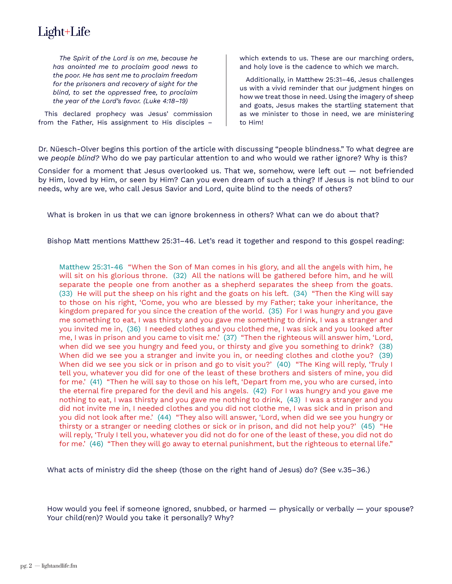*The Spirit of the Lord is on me, because he has anointed me to proclaim good news to the poor. He has sent me to proclaim freedom for the prisoners and recovery of sight for the blind, to set the oppressed free, to proclaim the year of the Lord's favor. (Luke 4:18–19)*

This declared prophecy was Jesus' commission from the Father, His assignment to His disciples – which extends to us. These are our marching orders, and holy love is the cadence to which we march.

Additionally, in Matthew 25:31–46, Jesus challenges us with a vivid reminder that our judgment hinges on how we treat those in need. Using the imagery of sheep and goats, Jesus makes the startling statement that as we minister to those in need, we are ministering to Him!

Dr. Nüesch-Olver begins this portion of the article with discussing "people blindness." To what degree are we *people blind?* Who do we pay particular attention to and who would we rather ignore? Why is this?

Consider for a moment that Jesus overlooked us. That we, somehow, were left out — not befriended by Him, loved by Him, or seen by Him? Can you even dream of such a thing? If Jesus is not blind to our needs, why are we, who call Jesus Savior and Lord, quite blind to the needs of others?

What is broken in us that we can ignore brokenness in others? What can we do about that?

Bishop Matt mentions Matthew 25:31–46. Let's read it together and respond to this gospel reading:

Matthew 25:31-46 "When the Son of Man comes in his glory, and all the angels with him, he will sit on his glorious throne. (32) All the nations will be gathered before him, and he will separate the people one from another as a shepherd separates the sheep from the goats. (33) He will put the sheep on his right and the goats on his left. (34) "Then the King will say to those on his right, 'Come, you who are blessed by my Father; take your inheritance, the kingdom prepared for you since the creation of the world. (35) For I was hungry and you gave me something to eat, I was thirsty and you gave me something to drink, I was a stranger and you invited me in, (36) I needed clothes and you clothed me, I was sick and you looked after me, I was in prison and you came to visit me.' (37) "Then the righteous will answer him, 'Lord, when did we see you hungry and feed you, or thirsty and give you something to drink? (38) When did we see you a stranger and invite you in, or needing clothes and clothe you? (39) When did we see you sick or in prison and go to visit you?' (40) "The King will reply, 'Truly I tell you, whatever you did for one of the least of these brothers and sisters of mine, you did for me.' (41) "Then he will say to those on his left, 'Depart from me, you who are cursed, into the eternal fire prepared for the devil and his angels. (42) For I was hungry and you gave me nothing to eat, I was thirsty and you gave me nothing to drink, (43) I was a stranger and you did not invite me in, I needed clothes and you did not clothe me, I was sick and in prison and you did not look after me.' (44) "They also will answer, 'Lord, when did we see you hungry or thirsty or a stranger or needing clothes or sick or in prison, and did not help you?' (45) "He will reply, 'Truly I tell you, whatever you did not do for one of the least of these, you did not do for me.' (46) "Then they will go away to eternal punishment, but the righteous to eternal life."

What acts of ministry did the sheep (those on the right hand of Jesus) do? (See v.35–36.)

How would you feel if someone ignored, snubbed, or harmed  $-$  physically or verbally  $-$  your spouse? Your child(ren)? Would you take it personally? Why?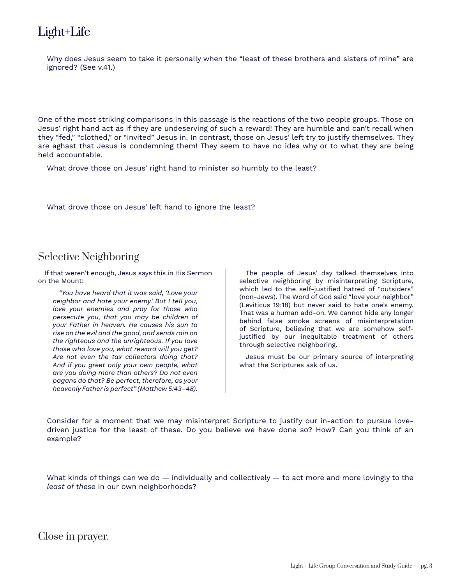Why does Jesus seem to take it personally when the "least of these brothers and sisters of mine" are ignored? (See v.41.)

One of the most striking comparisons in this passage is the reactions of the two people groups. Those on Jesus' right hand act as if they are undeserving of such a reward! They are humble and can't recall when they "fed," "clothed," or "invited" Jesus in. In contrast, those on Jesus' left try to justify themselves. They are aghast that Jesus is condemning them! They seem to have no idea why or to what they are being held accountable.

What drove those on Jesus' right hand to minister so humbly to the least?

What drove those on Jesus' left hand to ignore the least?

# Selective Neighboring

If that weren't enough, Jesus says this in His Sermon on the Mount:

*"You have heard that it was said, 'Love your neighbor and hate your enemy.' But I tell you, love your enemies and pray for those who persecute you, that you may be children of your Father in heaven. He causes his sun to rise on the evil and the good, and sends rain on the righteous and the unrighteous. If you love those who love you, what reward will you get? Are not even the tax collectors doing that? And if you greet only your own people, what are you doing more than others? Do not even pagans do that? Be perfect, therefore, as your heavenly Father is perfect" (Matthew 5:43–48).*

The people of Jesus' day talked themselves into selective neighboring by misinterpreting Scripture, which led to the self-justified hatred of "outsiders" (non-Jews). The Word of God said "love your neighbor" (Leviticus 19:18) but never said to hate one's enemy. That was a human add-on. We cannot hide any longer behind false smoke screens of misinterpretation of Scripture, believing that we are somehow selfjustified by our inequitable treatment of others through selective neighboring.

Jesus must be our primary source of interpreting what the Scriptures ask of us.

Consider for a moment that we may misinterpret Scripture to justify our in-action to pursue lovedriven justice for the least of these. Do you believe we have done so? How? Can you think of an example?

What kinds of things can we do  $-$  individually and collectively  $-$  to act more and more lovingly to the *least of these* in our own neighborhoods?

Close in prayer.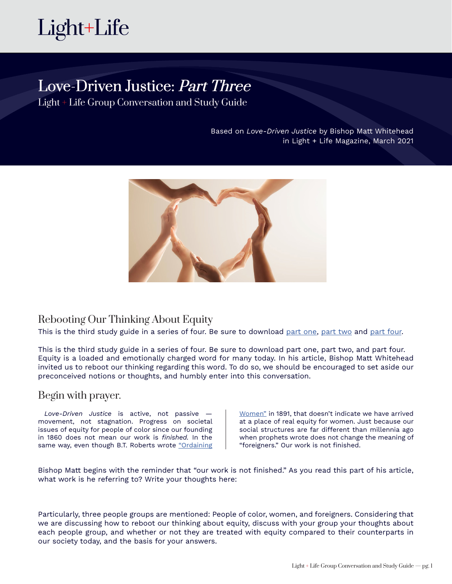

# Love-Driven Justice: Part Three

Light + Life Group Conversation and Study Guide

Based on *Love-Driven Justice* by Bishop Matt Whitehead in Light + Life Magazine, March 2021



# Rebooting Our Thinking About Equity

This is the third study guide in a series of four. Be sure to download [part](http://lightandlife.fm/wp-content/uploads/2021/02/Part-1_Love-Driven-Justice_Light-and-Life-Group-Study-Guide.pdf) one, [part](http://lightandlife.fm/wp-content/uploads/2021/02/Part-2_Love-Driven-Justice_Light-and-Life-Group-Study-Guide.pdf) two and [part four](http://lightandlife.fm/wp-content/uploads/2021/02/Part-4_Love-Driven-Justice_Light-and-Life-Group-Study-Guide-2.pdf).

This is the third study guide in a series of four. Be sure to download part one, part two, and part four. Equity is a loaded and emotionally charged word for many today. In his article, Bishop Matt Whitehead invited us to reboot our thinking regarding this word. To do so, we should be encouraged to set aside our preconceived notions or thoughts, and humbly enter into this conversation.

### Begin with prayer.

*Love-Driven Justice* is active, not passive movement, not stagnation. Progress on societal issues of equity for people of color since our founding in 1860 does not mean our work is *finished.* In the same way, even though B.T. Roberts wrote "Ordaining [Women"](https://freemethodistbooks.com/product/ordaining-women-biblical-and-historical-insights) in 1891, that doesn't indicate we have arrived at a place of real equity for women. Just because our social structures are far different than millennia ago when prophets wrote does not change the meaning of "foreigners." Our work is not finished.

Bishop Matt begins with the reminder that "our work is not finished." As you read this part of his article, what work is he referring to? Write your thoughts here:

Particularly, three people groups are mentioned: People of color, women, and foreigners. Considering that we are discussing how to reboot our thinking about equity, discuss with your group your thoughts about each people group, and whether or not they are treated with equity compared to their counterparts in our society today, and the basis for your answers.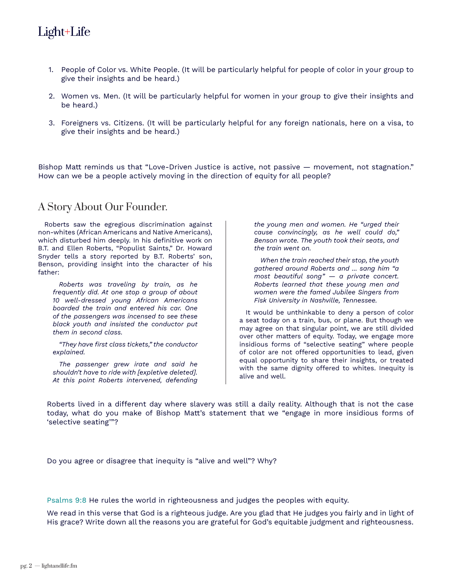- 1. People of Color vs. White People. (It will be particularly helpful for people of color in your group to give their insights and be heard.)
- 2. Women vs. Men. (It will be particularly helpful for women in your group to give their insights and be heard.)
- 3. Foreigners vs. Citizens. (It will be particularly helpful for any foreign nationals, here on a visa, to give their insights and be heard.)

Bishop Matt reminds us that "Love-Driven Justice is active, not passive — movement, not stagnation." How can we be a people actively moving in the direction of equity for all people?

### A Story About Our Founder.

Roberts saw the egregious discrimination against non-whites (African Americans and Native Americans), which disturbed him deeply. In his definitive work on B.T. and Ellen Roberts, "Populist Saints," Dr. Howard Snyder tells a story reported by B.T. Roberts' son, Benson, providing insight into the character of his father:

*Roberts was traveling by train, as he frequently did. At one stop a group of about 10 well-dressed young African Americans boarded the train and entered his car. One of the passengers was incensed to see these black youth and insisted the conductor put them in second class.* 

*"They have first class tickets," the conductor explained.* 

*The passenger grew irate and said he shouldn't have to ride with [expletive deleted]. At this point Roberts intervened, defending* 

*the young men and women. He "urged their cause convincingly, as he well could do," Benson wrote. The youth took their seats, and the train went on.* 

*When the train reached their stop, the youth gathered around Roberts and ... sang him "a most beautiful song" — a private concert. Roberts learned that these young men and women were the famed Jubilee Singers from Fisk University in Nashville, Tennessee.*

It would be unthinkable to deny a person of color a seat today on a train, bus, or plane. But though we may agree on that singular point, we are still divided over other matters of equity. Today, we engage more insidious forms of "selective seating" where people of color are not offered opportunities to lead, given equal opportunity to share their insights, or treated with the same dignity offered to whites. Inequity is alive and well.

Roberts lived in a different day where slavery was still a daily reality. Although that is not the case today, what do you make of Bishop Matt's statement that we "engage in more insidious forms of 'selective seating'"?

Do you agree or disagree that inequity is "alive and well"? Why?

Psalms 9:8 He rules the world in righteousness and judges the peoples with equity.

We read in this verse that God is a righteous judge. Are you glad that He judges you fairly and in light of His grace? Write down all the reasons you are grateful for God's equitable judgment and righteousness.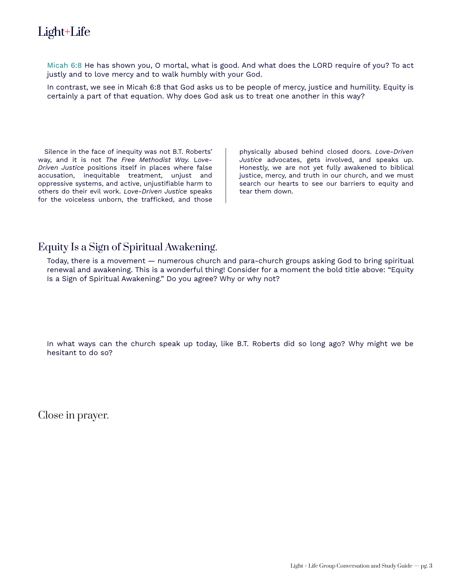Micah 6:8 He has shown you, O mortal, what is good. And what does the LORD require of you? To act justly and to love mercy and to walk humbly with your God.

In contrast, we see in Micah 6:8 that God asks us to be people of mercy, justice and humility. Equity is certainly a part of that equation. Why does God ask us to treat one another in this way?

Silence in the face of inequity was not B.T. Roberts' way, and it is not *The Free Methodist Way.* L*ove-Driven Justice* positions itself in places where false accusation, inequitable treatment, unjust and oppressive systems, and active, unjustifiable harm to others do their evil work. *Love-Driven Justice* speaks for the voiceless unborn, the trafficked, and those

physically abused behind closed doors. *Love-Driven Justice* advocates, gets involved, and speaks up. Honestly, we are not yet fully awakened to biblical justice, mercy, and truth in our church, and we must search our hearts to see our barriers to equity and tear them down.

# Equity Is a Sign of Spiritual Awakening.

Today, there is a movement — numerous church and para-church groups asking God to bring spiritual renewal and awakening. This is a wonderful thing! Consider for a moment the bold title above: "Equity Is a Sign of Spiritual Awakening." Do you agree? Why or why not?

In what ways can the church speak up today, like B.T. Roberts did so long ago? Why might we be hesitant to do so?

Close in prayer.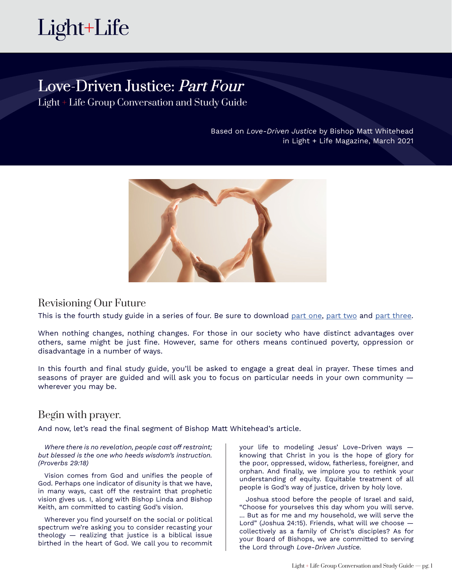

# Love-Driven Justice: Part Four

Light + Life Group Conversation and Study Guide

Based on *Love-Driven Justice* by Bishop Matt Whitehead in Light + Life Magazine, March 2021



### Revisioning Our Future

This is the fourth study guide in a series of four. Be sure to download [part](http://lightandlife.fm/wp-content/uploads/2021/02/Part-1_Love-Driven-Justice_Light-and-Life-Group-Study-Guide.pdf) one, [part](http://lightandlife.fm/wp-content/uploads/2021/02/Part-2_Love-Driven-Justice_Light-and-Life-Group-Study-Guide.pdf) two and [part t](http://lightandlife.fm/wp-content/uploads/2021/02/Part-3_Love-Driven-Justice_Light-and-Life-Group-Study-Guide.pdf)hree.

When nothing changes, nothing changes. For those in our society who have distinct advantages over others, same might be just fine. However, same for others means continued poverty, oppression or disadvantage in a number of ways.

In this fourth and final study guide, you'll be asked to engage a great deal in prayer. These times and seasons of prayer are guided and will ask you to focus on particular needs in your own community wherever you may be.

### Begin with prayer.

And now, let's read the final segment of Bishop Matt Whitehead's article.

*Where there is no revelation, people cast off restraint; but blessed is the one who heeds wisdom's instruction. (Proverbs 29:18)*

Vision comes from God and unifies the people of God. Perhaps one indicator of disunity is that we have, in many ways, cast off the restraint that prophetic vision gives us. I, along with Bishop Linda and Bishop Keith, am committed to casting God's vision.

Wherever you find yourself on the social or political spectrum we're asking you to consider recasting your theology — realizing that justice is a biblical issue birthed in the heart of God. We call you to recommit your life to modeling Jesus' Love-Driven ways knowing that Christ in you is the hope of glory for the poor, oppressed, widow, fatherless, foreigner, and orphan. And finally, we implore you to rethink your understanding of equity. Equitable treatment of all people is God's way of justice, driven by holy love.

Joshua stood before the people of Israel and said, "Choose for yourselves this day whom you will serve. ... But as for me and my household, we will serve the Lord" (Joshua 24:15). Friends, what will *we* choose collectively as a family of Christ's disciples? As for your Board of Bishops, we are committed to serving the Lord through *Love-Driven Justice.*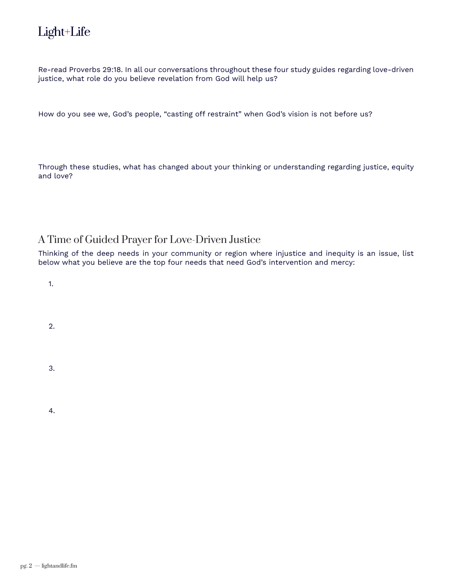Re-read Proverbs 29:18. In all our conversations throughout these four study guides regarding love-driven justice, what role do you believe revelation from God will help us?

How do you see we, God's people, "casting off restraint" when God's vision is not before us?

Through these studies, what has changed about your thinking or understanding regarding justice, equity and love?

# A Time of Guided Prayer for Love-Driven Justice

Thinking of the deep needs in your community or region where injustice and inequity is an issue, list below what you believe are the top four needs that need God's intervention and mercy:

1.

2.

3.

4.